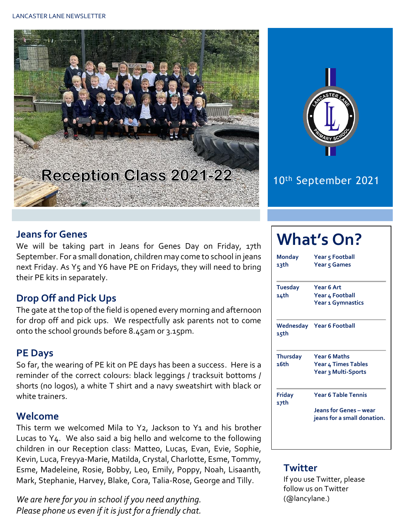



## 10th September 2021

#### **Jeans for Genes**

We will be taking part in Jeans for Genes Day on Friday, 17th September. For a small donation, children may come to school in jeans next Friday. As Y5 and Y6 have PE on Fridays, they will need to bring their PE kits in separately.

#### **Drop Off and Pick Ups**

The gate at the top of the field is opened every morning and afternoon for drop off and pick ups. We respectfully ask parents not to come onto the school grounds before 8.45am or 3.15pm.

#### **PE Days**

So far, the wearing of PE kit on PE days has been a success. Here is a reminder of the correct colours: black leggings / tracksuit bottoms / shorts (no logos), a white T shirt and a navy sweatshirt with black or white trainers.

#### **Welcome**

This term we welcomed Mila to Y2, Jackson to Y1 and his brother Lucas to Y4. We also said a big hello and welcome to the following children in our Reception class: Matteo, Lucas, Evan, Evie, Sophie, Kevin, Luca, Freyya-Marie, Matilda, Crystal, Charlotte, Esme, Tommy, Esme, Madeleine, Rosie, Bobby, Leo, Emily, Poppy, Noah, Lisaanth, Mark, Stephanie, Harvey, Blake, Cora, Talia-Rose, George and Tilly.

*We are here for you in school if you need anything. Please phone us even if it is just for a friendly chat.* 

# **What's On?**

| <b>Monday</b><br>13th   | Year 5 Football<br>Year 5 Games<br>Year 6 Art<br>Year 4 Football<br>Year 1 Gymnastics |  |  |  |  |
|-------------------------|---------------------------------------------------------------------------------------|--|--|--|--|
| <b>Tuesday</b><br>14th  |                                                                                       |  |  |  |  |
| 15th                    | Wednesday Year 6 Football                                                             |  |  |  |  |
| <b>Thursday</b><br>16th | <b>Year 6 Maths</b><br>Year 4 Times Tables<br>Year 3 Multi-Sports                     |  |  |  |  |
| <b>Friday</b><br>17th   | <b>Year 6 Table Tennis</b><br>Jeans for Genes - wear<br>jeans for a small donation.   |  |  |  |  |

#### **Twitter**

If you use Twitter, please follow us on Twitter (@lancylane.)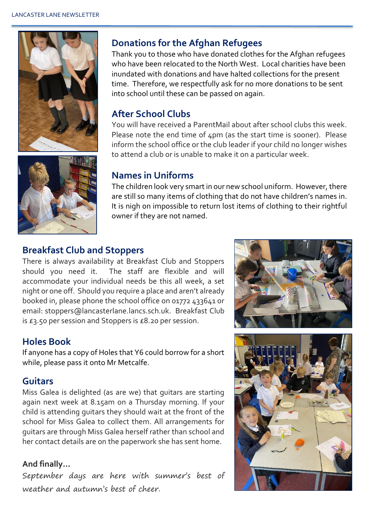



#### **Donations for the Afghan Refugees**

Thank you to those who have donated clothes for the Afghan refugees who have been relocated to the North West. Local charities have been inundated with donations and have halted collections for the present time. Therefore, we respectfully ask for no more donations to be sent into school until these can be passed on again.

#### **After School Clubs**

You will have received a ParentMail about after school clubs this week. Please note the end time of  $\Delta$ pm (as the start time is sooner). Please inform the school office or the club leader if your child no longer wishes to attend a club or is unable to make it on a particular week.

#### **Names in Uniforms**

The children look very smart in our new school uniform. However, there are still so many items of clothing that do not have children's names in. It is nigh on impossible to return lost items of clothing to their rightful owner if they are not named.

#### **Breakfast Club and Stoppers**

There is always availability at Breakfast Club and Stoppers should you need it. The staff are flexible and will accommodate your individual needs be this all week, a set night or one off. Should you require a place and aren't already booked in, please phone the school office on 01772 433641 or email: stoppers@lancasterlane.lancs.sch.uk. Breakfast Club is £3.50 per session and Stoppers is £8.20 per session.

#### **Holes Book**

If anyone has a copy of Holes that Y6 could borrow for a short while, please pass it onto Mr Metcalfe.

#### **Guitars**

Miss Galea is delighted (as are we) that guitars are starting again next week at 8.15am on a Thursday morning. If your child is attending guitars they should wait at the front of the school for Miss Galea to collect them. All arrangements for guitars are through Miss Galea herself rather than school and her contact details are on the paperwork she has sent home.

#### **And finally…**

September days are here with summer's best of weather and autumn's best of cheer.